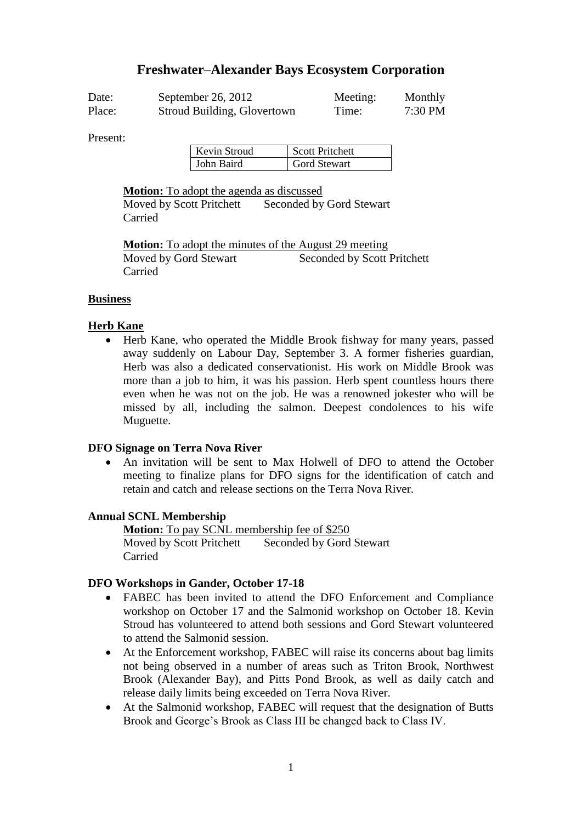# **Freshwater–Alexander Bays Ecosystem Corporation**

| Date:  | September 26, 2012          | Meeting: | Monthly   |
|--------|-----------------------------|----------|-----------|
| Place: | Stroud Building, Glovertown | Time:    | $7:30$ PM |

Present:

| Kevin Stroud | <b>Scott Pritchett</b> |
|--------------|------------------------|
| John Baird   | <b>Gord Stewart</b>    |

**Motion:** To adopt the agenda as discussed

Moved by Scott Pritchett Seconded by Gord Stewart Carried

**Motion:** To adopt the minutes of the August 29 meeting Moved by Gord Stewart Seconded by Scott Pritchett Carried

#### **Business**

### **Herb Kane**

 Herb Kane, who operated the Middle Brook fishway for many years, passed away suddenly on Labour Day, September 3. A former fisheries guardian, Herb was also a dedicated conservationist. His work on Middle Brook was more than a job to him, it was his passion. Herb spent countless hours there even when he was not on the job. He was a renowned jokester who will be missed by all, including the salmon. Deepest condolences to his wife Muguette.

## **DFO Signage on Terra Nova River**

 An invitation will be sent to Max Holwell of DFO to attend the October meeting to finalize plans for DFO signs for the identification of catch and retain and catch and release sections on the Terra Nova River.

#### **Annual SCNL Membership**

**Motion:** To pay SCNL membership fee of \$250 Moved by Scott Pritchett Seconded by Gord Stewart Carried

#### **DFO Workshops in Gander, October 17-18**

- FABEC has been invited to attend the DFO Enforcement and Compliance workshop on October 17 and the Salmonid workshop on October 18. Kevin Stroud has volunteered to attend both sessions and Gord Stewart volunteered to attend the Salmonid session.
- At the Enforcement workshop, FABEC will raise its concerns about bag limits not being observed in a number of areas such as Triton Brook, Northwest Brook (Alexander Bay), and Pitts Pond Brook, as well as daily catch and release daily limits being exceeded on Terra Nova River.
- At the Salmonid workshop, FABEC will request that the designation of Butts Brook and George's Brook as Class III be changed back to Class IV.